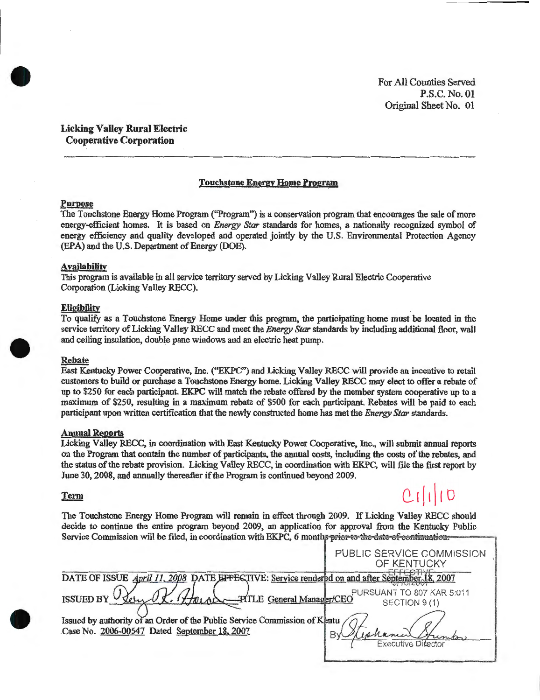For All Counties Served P.S.C. No. 01 Original Sheet No. 01

Licking Valley Rural Electric Cooperative Corporation

#### Touchstone Energy Home Program

#### Purpose

•

The Touchstone Energy Home Program ("Program") is a conservation program that encourages the sale of more energy-efficient homes. It is based on *Energy Star* standards for homes, a nationally recognized symbol of energy efficiency and quality developed and operated jointly by the U.S. Environmental Protection Agency (EPA) and the U.S. Department of Energy (DOE).

## Availability

This program is available in all service territory served by Licking Valley Rural Electric Cooperative Corporation (Licking Valley RECC).

#### **Eligibility**

To qualify as a Touchstone Energy Home under this program, the participating home must be located in the service territory of Licking Valley RECC and meet the *Energy Star* standards by including additional floor, wall and ceiling insulation, double pane windows and an electric heat pump.

#### Rebate

•

•

East Kentucky Power Cooperative, Inc. ("EKPC") and Licking Valley RECC will provide an incentive to retail customers to build or purchase a Touchstone Energy home. Licking Valley RECC may elect to offer a rebate of up to \$250 for each participant. EKPC will match the rebate offered by the member system cooperative up to a maximum of \$250, resulting in a maximum rebate of \$500 for each participant. Rebates will be paid to each participant upon written certification that the newly constructed home has met the *Energy Star* standards.

#### Annual Reports

Licking Valley RECC, in coordination with East Kentucky Power Cooperative, Inc., will submit annual reports on the Program that contain the number of participants, the annual costs, including the costs of the rebates, and the status of the rebate provision. Licking Valley RECC, in coordination with EKPC, will ftle the first report by June 30,2008, and annually thereafter if the Program is continued beyond 2009.

#### **Term**

 $Cl(110)$ 

The Touchstone Energy Home Program will remain in effect through 2009. If Licking Valley RECC should decide to continue the entire program beyond 2009, an application for approval from the Kentucky Public Service Commission will be filed, in coordination with EKPC, 6 months prior to the date of continuation.

|                                                                                                                                                                                  | PUBLIC SERVICE COMMISSION<br>OF KENTUCKY                        |
|----------------------------------------------------------------------------------------------------------------------------------------------------------------------------------|-----------------------------------------------------------------|
| DATE OF ISSUE April 11, 2008 DATE EFFECTIVE: Service rendered on and after September.                                                                                            |                                                                 |
| Henry PITLE General Manager/CEO<br><b>ISSUED BY</b><br>Issued by authority of an Order of the Public Service Commission of Kentu<br>Case No. 2006-00547 Dated September 18, 2007 | PURSUANT TO 807 KAR 5:011<br>SECTION 9(1)<br>Executive Director |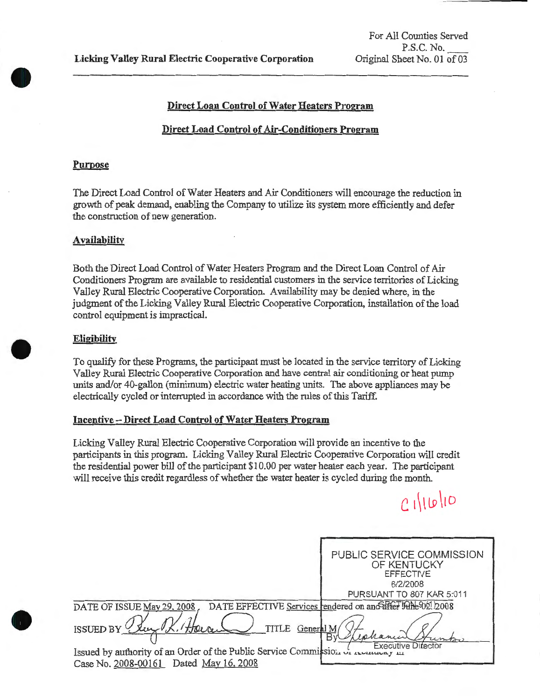## **Direct Loan Control of Water Heaters Program**

## **Direct Load Control of Air-Conditioners Program**

#### **Purpose**

 $\bullet$ 

•

**0** 

The Direct Load Control of Water Heaters and Air Conditioners will encourage the reduction in growth of peak demand, enabling the Company to utilize its system more efficiently and defer the construction of new generation.

## **Availability**

Both the Direct Load Control of Water Heaters Program and the Direct Loan Control of Air Conditioners Program are available to residential customers in the service territories of Licking Valley Rural Electric Cooperative Corporation. Availability may be denied where, in the judgment of the Licking Valley Rural Electric Cooperative Corporation, installation of the load control equipment is impractical.

## **Eligibility**

To qualify for these Programs, the participant must be located in the service territory of Licking Valley Rural Electric Cooperative Corporation and have central air conditioning or heat pump units and/or 40-gallon (minimum) electric water heating units. The above appliances may be electrically cycled or interrupted in accordance with the rules of this Tariff.

## **Incentive -Direct Load Control of Water Heaters Program**

Licking Valley Rural Electric Cooperative Corporation will provide an incentive to the participants in this program. Licking Valley Rural Electric Cooperative Corporation will credit the residential power bill of the participant \$10.00 per water heater each year. The participant will receive this credit regardless of whether the water heater is cycled during the month.

 $C111010$ 

|                                                                                        | PUBLIC SERVICE COMMISSION<br>OF KENTUCKY<br><b>EFFECTIVE</b> |
|----------------------------------------------------------------------------------------|--------------------------------------------------------------|
|                                                                                        | 6/2/2008                                                     |
|                                                                                        | PURSUANT TO 807 KAR 5:011                                    |
| DATE OF ISSUE May 29, 2008                                                             | DATE EFFECTIVE Services rendered on and affer bane 02. 2008  |
| TITLE<br>HOLDE,<br><b>ISSUED BY</b><br>General M                                       | Executive Difector                                           |
| Issued by authority of an Order of the Public Service Commission of <i>Industry</i> 44 |                                                              |
| Case No. 2008-00161 Dated May 16, 2008                                                 |                                                              |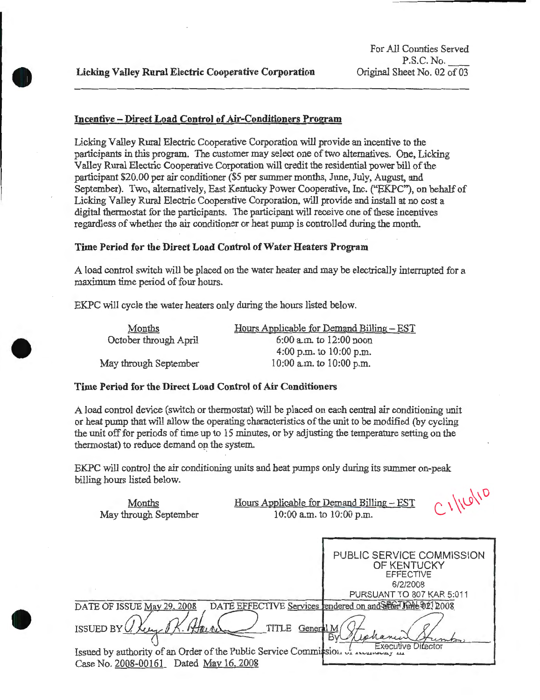**•** 

•

**0** 

## **Incentive- Direct Load Control of Air-Conditioners Program**

Licking Valley Rural Electric Cooperative Corporation will provide an incentive to the participants in this program. The customer may select one of two alternatives. One, Licking Valley Rural Electric Cooperative Corporation will credit the residential power bill of the participant \$20.00 per air conditioner (\$5 per summer months, June, July, August, and September). Two, alternatively, East Kentucky Power Cooperative, Inc. ("EKPC"), on behalf of Licking Valley Rural Electric Cooperative Corporation, will provide and install at no cost a digital thermostat for the participants. The participant will receive one of these incentives regardless of whether the air conditioner or heat pump is controlled during the month.

## **Time Period for the Direct Load Control of Water Heaters Program**

A load control switch will be placed on the water heater and may be electrically interrupted for a maximum time period of four hours.

EKPC will cycle the water heaters only during the hours listed below.

Months October through April

May through September

Hours Applicable for Demand Billing - EST 6:00a.m. to 12:00 noon 4:00p.m. to 10:00 p.m. 10:00 a.m. to 10:00 p.m.

#### **Time Period for the Direct Load Control of Air Conditioners**

A load control device (switch or thermostat) will be placed on each central air conditioning unit or heat pump that will allow the operating characteristics of the unit to be modified (by cycling the unit off for periods of time up to 15 minutes, or by adjusting the temperature setting on the thermostat) to reduce demand on the system.

EKPC will control the air conditioning units and heat pumps only during its summer on-peak billing hours listed below.

| Months<br>May through September        | C111010<br>Hours Applicable for Demand Billing - EST<br>10:00 a.m. to 10:00 p.m.                                                     |
|----------------------------------------|--------------------------------------------------------------------------------------------------------------------------------------|
|                                        | PUBLIC SERVICE COMMISSION<br>OF KENTUCKY<br><b>EFFECTIVE</b><br>6/2/2008<br>PURSUANT TO 807 KAR 5:011                                |
| DATE OF ISSUE May 29, 2008             | DATE EFFECTIVE Services rendered on and SEGT JOHNe 021 2008                                                                          |
| ISSUED BY                              | TITLE<br>General M<br>Bv<br>Executive Ditector<br>Issued by authority of an Order of the Public Service Commission of measured y and |
| Case No. 2008-00161 Dated May 16, 2008 |                                                                                                                                      |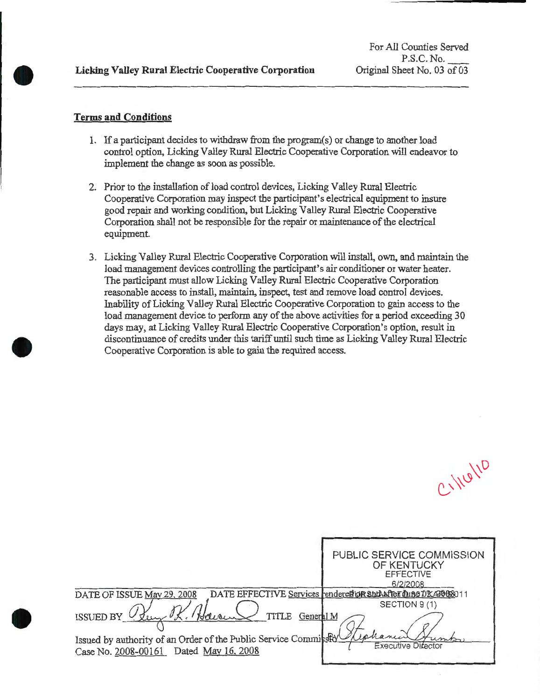## **Terms and Conditions**

**•** 

 $\bullet$ 

- 1. If a participant decides to withdraw from the program(s) or change to another load control option, Licking Valley Rural Electric Cooperative Corporation will endeavor to implement the change as soon as possible.
- 2. Prior to the installation of load control devices, Licking Valley Rural Electric Cooperative Corporation may inspect the participant's electrical equipment to insure good repair and working condition, but Licking Valley Rural Electric Cooperative Corporation shall not be responsible for the repair or maintenance of the electrical equipment.
- 3. Licking Valley Rural Electric Cooperative Corporation will install, own, and maintain the load management devices controlling the participant's air conditioner or water heater. The participant must allow Licking Valley Rural Electric Cooperative Corporation reasonable access to install, maintain, inspect, test and remove load control devices. Inability of Licking Valley Rural Electric Cooperative Corporation to gain access to the load management device to perform any of the above activities for a period exceeding 30 days may, at Licking Valley Rural Electric Cooperative Corporation's option, result in discontinuance of credits under this tariff until such time as Licking Valley Rural Electric Cooperative Corporation is able to gain the required access.

CLINGIVO

|                                                                                                                                                       | PUBLIC SERVICE COMMISSION<br>OF KENTUCKY<br><b>EFFECTIVE</b><br>6/2/2008       |
|-------------------------------------------------------------------------------------------------------------------------------------------------------|--------------------------------------------------------------------------------|
| DATE OF ISSUE May 29, 2008                                                                                                                            | DATE EFFECTIVE Services rendered IOR and After Dune DRAP08011<br>SECTION 9 (1) |
| TITLE<br>General M<br>ISSUED BY<br>Issued by authority of an Order of the Public Service Commission Uphanic<br>Case No. 2008-00161 Dated May 16, 2008 | <b>Executive Director</b>                                                      |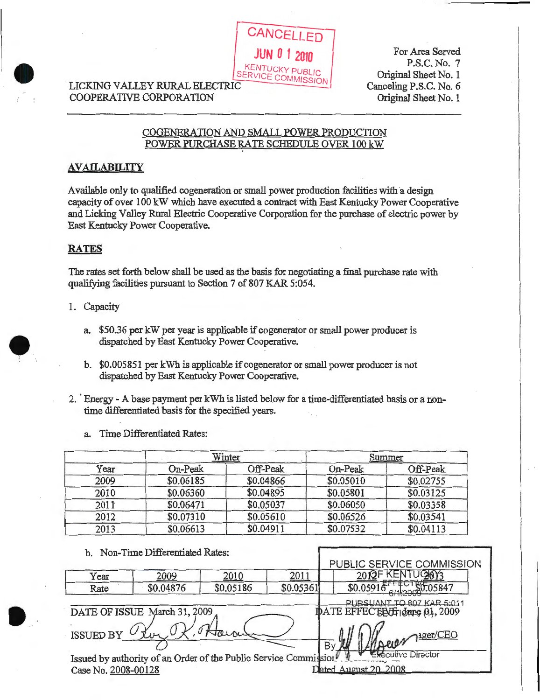# LICKING VALLEY RURAL ELECTRIC COMMISSION COOPERATIVE CORPORATION

For Area Served P.S.C. No. 7 Original Sheet No. 1 Canceling P.S.C. No. 6 Original Sheet No. 1

## COGENERATION AND SMALL POWER PRODUCTION POWER PURCHASE RATE SCHEDULE OVER 100 kW

**CANCELLED** 

**JUN 0 1 2010** 

.....

# **AVAILABILITY**

Available only to qualified cogeneration or small power production facilities with a design capacity of over 100 kW which have executed a contract with East Kentucky Power Cooperative and Licking Valley Rural Electric Cooperative Corporation for the purchase of electric power by East Kentucky Power Cooperative.

# **RATES**

 $\bullet$ 

•

The rates set forth below shall be used as the basis for negotiating a final purchase rate with qualifying facilities pursuant to Section 7 of 807 KAR 5:054.

- 1. Capacity
	- a. \$50.36 per kW per year is applicable if cogenerator or small power producer is dispatched by East Kentucky Power Cooperative.
	- b. \$0.005851 per kWh is applicable if cogenerator or small power producer is not dispatched by East Kentucky Power Cooperative.
- 2. Energy A base payment per kWh is listed below for a time-differentiated basis or a nontime differentiated basis for the specified years.
	- a. Time Differentiated Rates:

|      |           | Winter    |           | Summer    |
|------|-----------|-----------|-----------|-----------|
| Year | On-Peak   | Off-Peak  | On-Peak   | Off-Peak  |
| 2009 | \$0.06185 | \$0.04866 | \$0.05010 | \$0.02755 |
| 2010 | \$0.06360 | \$0.04895 | \$0.05801 | \$0.03125 |
| 2011 | \$0.06471 | \$0.05037 | \$0.06050 | \$0.03358 |
| 2012 | \$0.07310 | \$0.05610 | \$0.06526 | \$0.03541 |
| 2013 | \$0.06613 | \$0,04911 | \$0.07532 | \$0.04113 |

| b. Non-Time Differentiated Rates:                                |           |           |           |                               |
|------------------------------------------------------------------|-----------|-----------|-----------|-------------------------------|
|                                                                  |           |           |           | PUBLIC SERVICE COMMISSION     |
| Year                                                             | 2009      | 2010      | 2011      | 2012F KENTUGKY3               |
| Rate                                                             | \$0.04876 | \$0.05186 | \$0.05361 | \$0.05916                     |
|                                                                  |           |           |           | PURSUANT TO 807 KAR 5:011     |
| DATE OF ISSUE March 31, 2009                                     |           |           |           | IDATE EFFECTECT Jane 01, 2009 |
|                                                                  |           |           |           |                               |
| <b>ISSUED BY</b>                                                 |           |           |           | 12 April 1 Per / CEO<br>By W  |
|                                                                  |           |           |           | Executive Director            |
| Issued by authority of an Order of the Public Service Commission |           |           |           |                               |
| Case No. 2008-00128                                              |           |           |           | Dated August 20, 2008         |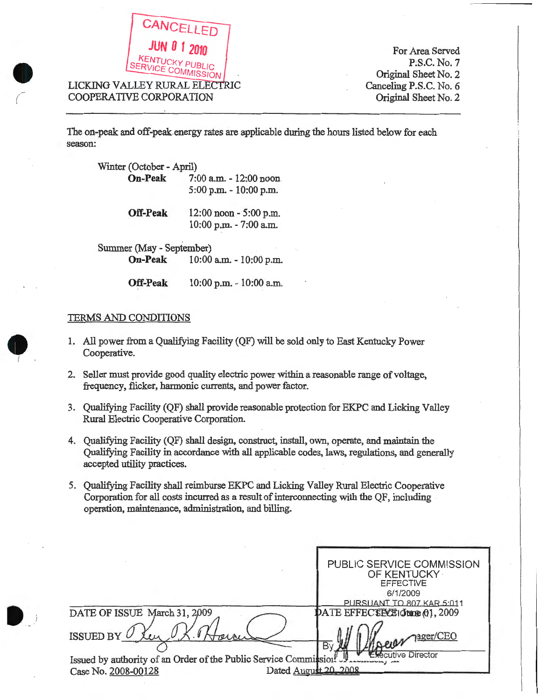

For Area Served P;S.C. No.7 Original Sheet No. 2 Canceling P.S.C. No. 6 Original Sheet No. 2

The on-peak and off-peak. energy rates are applicable during the hours listed below for each season:

| Winter (October - April) |                         |
|--------------------------|-------------------------|
| <b>On-Peak</b>           | 7:00 a.m. - 12:00 noon  |
|                          | 5:00 p.m. - 10:00 p.m.  |
| <b>Off-Peak</b>          | 12:00 noon - 5:00 p.m.  |
|                          | 10:00 p.m. - 7:00 a.m.  |
| Summer (May - September) |                         |
| <b>On-Peak</b>           | 10:00 a.m. - 10:00 p.m. |

**Off-Peak** 10:00 p.m. - 10:00 a.m.

## TERMS AND CONDITIONS

- 1. All power from a Qualifying Facility (QF) will be sold only to East Kentucky Power Cooperative.
- 2. Seller must provide good quality electric power within a reasonable range of voltage, frequency, flicker, harmonic currents, and power factor.
- 3. Qualifying Facility (QF) shall provide reasonable protection for EKPC and Licking Valley Rural Electric Cooperative Corporation.
- 4. Qualifying Facility (QF) shall design, construct, install, own, operate, and maintain the Qualifying Facility in accordance with all applicable codes, laws, regulations, and generally accepted utility practices.
- 5. Qualifying Facility shall reimburse EKPC and Licking Valley Rural Electric Cooperative Corporation for all costs incurred as a result of interconnecting with the QF, including operation, maintenance, administration, and billing.

|                                                                                                                   | PUBLIC SERVICE COMMISSION<br>OF KENTUCKY<br><b>EFFECTIVE</b><br>6/1/2009<br>PURSUANT TO 807 KAR 5:011 |
|-------------------------------------------------------------------------------------------------------------------|-------------------------------------------------------------------------------------------------------|
| DATE OF ISSUE March 31, 2009                                                                                      | DATE EFFECTECTIONE (01, 2009                                                                          |
| <b>ISSUED BY</b>                                                                                                  | 1 Dever nager/CEO<br>By                                                                               |
| Issued by authority of an Order of the Public Service Commission.<br>Dated August 20, 2008<br>Case No. 2008-00128 | <b>ecutive Director</b>                                                                               |



•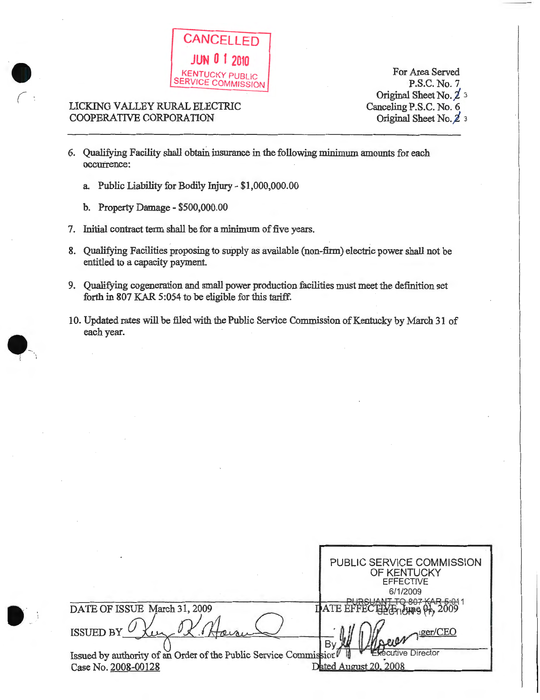

# LICKING VALLEY RURAL ELECTRIC COOPERATIVE CORPORATION

 $\bullet$ 

 $\bullet$ 

 $\bullet$ 

(

For Area Served P.S.C. No.7 Original Sheet No.  $\n *z*$  3 Canceling P.S.C. No. 6 Original Sheet No. 2 3

- 6. Qualifying Facility shall obtain insurance in the following minimum amounts for each occurrence:
	- a Public Liability for Bodily Injury- \$1,000,000.00
	- b. Property Damage \$500,000.00
- 7. Initial contract term shall be for a minimum of five years.
- 8. Qualifying Facilities proposing to supply as available (non-firm) electric power shall not be entitled to a capacity payment.
- 9. Qualifying cogeneration and small power production facilities must meet the definition set forth in 807 KAR 5:054 to be eligible for this tariff.
- 10. Updated rates will be filed with the Public Service Commission of Kentucky by March 31 of each year.

|                                                                  | PUBLIC SERVICE COMMISSION<br>OF KENTUCKY<br><b>EFFECTIVE</b><br>6/1/2009<br>TO 207 KAD 5- |
|------------------------------------------------------------------|-------------------------------------------------------------------------------------------|
| DATE OF ISSUE March 31, 2009                                     | DATE E<br>YETIMING Y                                                                      |
| <b>ISSUED BY</b>                                                 | By                                                                                        |
| Issued by authority of an Order of the Public Service Commission | Executive Director                                                                        |
| Case No. 2008-00128                                              | Dated August 20, 2008                                                                     |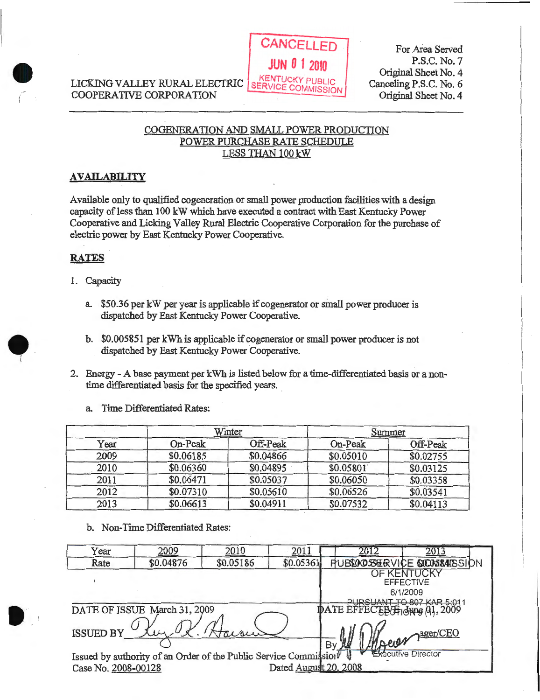LICKING VALLEY RURAL ELECTRIC SERVICE COMMISSION COOPERATIVE CORPORATION



For Area Served P.S.C. No.7 Original Sheet No.4 Canceling P.S.C. No.6 Original Sheet No. 4

# COGENERATION AND SMALL POWER PRODUCTION POWER PURCHASE RATE SCHEDULE LESS THAN 100 kW

## **AVAILABILITY**

Available only to qualified cogeneration or small power production facilities with a design capacity of less than 100 kW which have executed a contract with East Kentucky Power Cooperative and Licking Valley Rural Electric Cooperative Corporation for the purchase of electric power by East Kentucky Power Cooperative.

# **RATES**

•

 $\bullet$ !

• .. - !

- 1. Capacity
	- a. \$50.36 per kW per year is applicable if cogenerator or small power producer is dispatched by East Kentucky Power Cooperative.
	- b. \$0.005851 per kWh is applicable if cogenerator or small power producer is not dispatched by East Kentucky Power Cooperative.
- 2. Energy- A base payment per kWh is listed below for a time-differentiated basis or a nontime differentiated basis for the specified years.

a. Time Differentiated Rates:

|      |           | Winter    |           | Summer    |
|------|-----------|-----------|-----------|-----------|
| Year | On-Peak   | Off-Peak  | On-Peak   | Off-Peak  |
| 2009 | \$0.06185 | \$0.04866 | \$0.05010 | \$0.02755 |
| 2010 | \$0.06360 | \$0.04895 | \$0.05801 | \$0.03125 |
| 2011 | \$0.06471 | \$0.05037 | \$0.06050 | \$0.03358 |
| 2012 | \$0.07310 | \$0.05610 | \$0.06526 | \$0.03541 |
| 2013 | \$0.06613 | \$0.04911 | \$0.07532 | \$0.04113 |

b. Non-Time Differentiated Rates:

| Year                                                                                                                                         | 2009                         | 2010      | 2011      |                              | 201                                               |
|----------------------------------------------------------------------------------------------------------------------------------------------|------------------------------|-----------|-----------|------------------------------|---------------------------------------------------|
| Rate                                                                                                                                         | \$0.04876                    | \$0.05186 | \$0.05361 |                              | <b>RUBBAC SERVICE SICUSSARSSION</b>               |
|                                                                                                                                              |                              |           |           |                              | <b>DF KENTUCK</b><br><b>EFFECTIVE</b><br>6/1/2009 |
|                                                                                                                                              | DATE OF ISSUE March 31, 2009 |           |           | DATE EFFECELL Houng 01, 2009 | TO 807 KAR 5:01                                   |
| 2 <sub>2</sub> ger/CEO<br><b>ISSUED BY</b><br>By <b>M</b>                                                                                    |                              |           |           |                              |                                                   |
| <b>Secutive Director</b><br>Issued by authority of an Order of the Public Service Commission<br>Dated August 20, 2008<br>Case No. 2008-00128 |                              |           |           |                              |                                                   |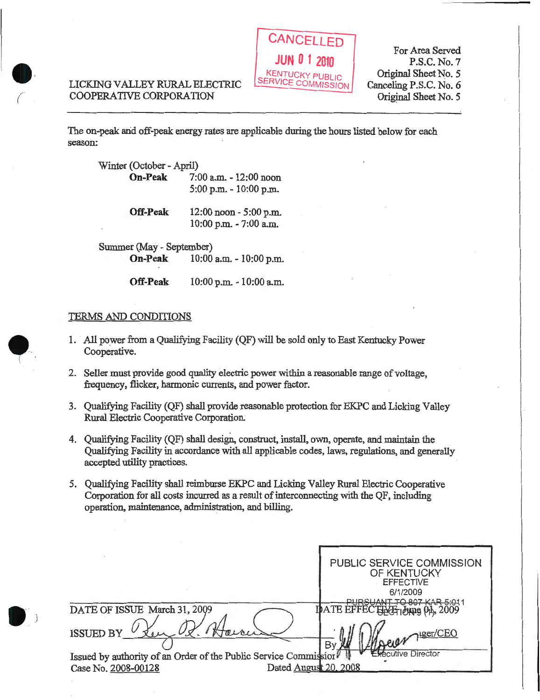# LICKING VALLEY RURAL ELECTRIC COOPERATIVE CORPORATION

•

 $\bullet$ 

*(..--* •



For Area Served P.S.C. No.7 Original Sheet No. 5 Canceling P.S.C. No.6 Original Sheet No. 5

The on-peak and off-peak energy rates are applicable during the hours listed below for each season:

| Winter (October - April) |                                                     |
|--------------------------|-----------------------------------------------------|
| <b>On-Peak</b>           | 7:00 a.m. - 12:00 noon<br>5:00 p.m. - 10:00 p.m.    |
| <b>Off-Peak</b>          | $12:00$ noon $-5:00$ p.m.<br>10:00 p.m. - 7:00 a.m. |
| Summer (May - September) |                                                     |
|                          | <b>On-Peak</b> 10:00 a.m. - 10:00 p.m.              |

**Off-Peak** 10:00 p.m. - 10:00 a.m.

# TERMS AND CONDITIONS

- 1. All power from a Qualifying Facility (QF) will be sold only to East Kentucky Power Cooperative.
- 2. Seller must provide good quality electric power within a reasonable range of voltage, frequency, flicker, harmonic currents, and power factor.
- 3. Qualifying Facility (QF) shall provide reasonable protection for EKPC and Licking Valley Rural Electric Cooperative Corporation;
- 4. Qualifying Facility (QF) shall design, construct, install, own, operate, and maintain the Qualifying Facility in accordance with all applicable codes, laws, regulations, and generally accepted utility practices.
- 5. Qualifying Facility shall reimburse EKPC and Licking Valley Rural Electric Cooperative Corporation for all costs incurred as a result of interconnecting with the QF, including operation, maintenance, administration, and billing.

|                                                                                                                  | PUBLIC SERVICE COMMISSION<br>OF KENTUCKY<br><b>EFFECTIVE</b><br>6/1/2009 |
|------------------------------------------------------------------------------------------------------------------|--------------------------------------------------------------------------|
| DATE OF ISSUE March 31, 2009                                                                                     | ANT TO 807 KAR 5.01'<br>IDATE EFFECTENE bung 04, 2009                    |
| <b>ISSUED BY</b>                                                                                                 | Moren 1ser/CEO<br>By                                                     |
| Issued by authority of an Order of the Public Service Commission<br>Dated August 20, 2008<br>Case No. 2008-00128 | <b>Executive Director</b>                                                |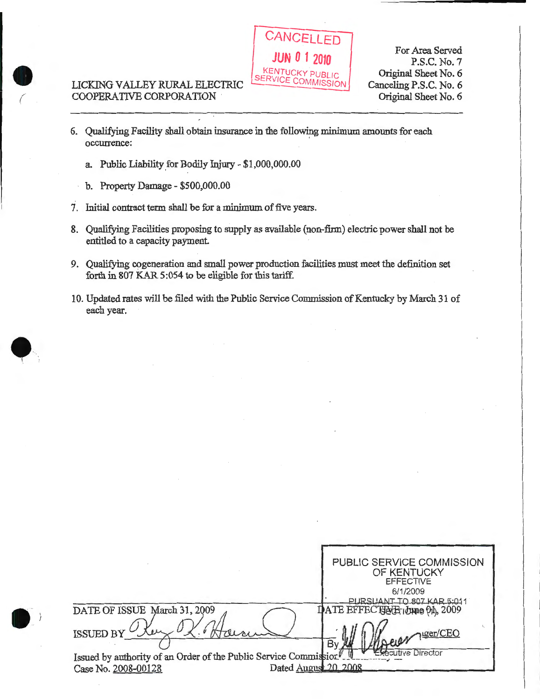# LICKING VALLEY RURAL ELECTRIC COOPERATIVE CORPORATION

 $\bullet$ 

**0** 



For Area Served P.S.C. No.7 Original Sheet No. 6 Canceling P.S.C. No. 6 Original Sheet No. 6

- 6. Qualifying Facility shall obtain insurance in the following minimum amounts for each occurrence:
	- a. Public Liability for Bodily Injury- \$1,000,000.00
	- b. Property Damage- \$500,000.00
- 7. Initial contract term shall be for a minimum of five years.
- 8. Qualifying Facilities proposing to supply as available (non-firm) electric power shall not be entitled to a capacity payment.
- 9. Qualifying cogeneration and small power production facilities must meet the definition set forth in 807 KAR 5:054 to be eligible for this tariff.
- 10. Updated rates will be filed with the Public Service Commission of Kentucky by March 31 of each year.

PUBLIC SERVICE COMMISSION OF KENTUCKY EFFECTIVE 6/1/2009<br>ANT TO 807 KAR 5:011 **ATE EFF** ECTENT LUMBER, 2009 DATE OF ISSUE March 31, 2009 uger/CEO **ISSUED BY Scutive Director** Issued by authority of an Order of the Public Service Commission [10]<br>Case No. 2008-09128 Dated August 20, 2008 Case No. 2008-00128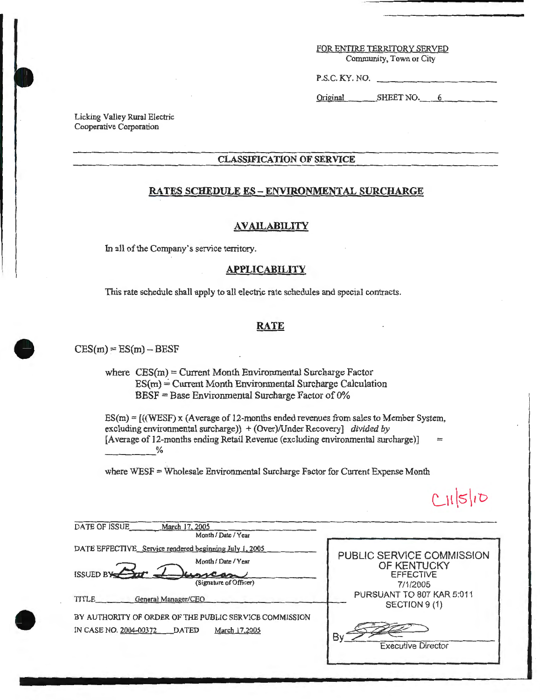#### FOR ENTIRE TERRITORY SERVED Community, Town or City

P.S.C. KY. NO.

Original SHEET NO. 6

Licking Valley Rural Electric Cooperative Corporation

### **CLASSIFICATION OF SERVICE**

## **RATES SCHEDULE ES - ENVIRONMENTAL SURCHARGE**

#### **AVAILABILITY**

In all of the Company's service territory.

## **APPLICABILITY**

This rate schedule shall apply to all electric rate schedules and special contracts.

#### **RATE**

 $CES(m) = ES(m) - BEST$ 

where  $CES(m) = Current Month Environmental Surface Factor$  $ES(m) = Current Month Environmental Surface Calculation$  $BESF = Base Environmental Surface Factor of 0%$ 

ES(m) = [((WESF) x (Average of 12-months ended revenues from sales to Member System, excluding environmental surcharge)) + (Over)/Under Recovery] *divided by* [Average of 12-months ending Retail Revenue (excluding environmental surcharge)]<br>  $\frac{\%}{\%}$  $=$ 

where WESF = Wholesale Environmental Surcharge Factor for Current Expense Month

 $C11510$ 

| <b>DATE OF ISSUE</b><br>March 17, 2005<br>Month / Date / Year                                                               |                                                                          |
|-----------------------------------------------------------------------------------------------------------------------------|--------------------------------------------------------------------------|
| DATE EFFECTIVE_Service rendered beginning July 1, 2005<br>Month / Date / Year<br><b>ISSUED BY</b><br>(Signature of Officer) | PUBLIC SERVICE COMMISSION<br>OF KENTUCKY<br><b>EFFECTIVE</b><br>7/1/2005 |
| TITLE<br>General Manager/CEO<br>BY AUTHORITY OF ORDER OF THE PUBLIC SERVICE COMMISSION                                      | PURSUANT TO 807 KAR 5:011<br>SECTION 9(1)                                |
| IN CASE NO. 2004-00372<br><b>DATED</b><br>March 17,2005                                                                     | В١<br><b>Executive Director</b>                                          |



•